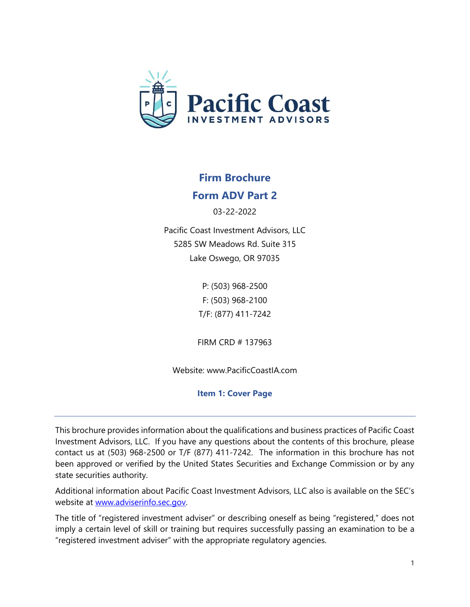

# **Firm Brochure**

# **Form ADV Part 2**

03-22-2022

Pacific Coast Investment Advisors, LLC 5285 SW Meadows Rd. Suite 315 Lake Oswego, OR 97035

> P: (503) 968-2500 F: (503) 968-2100 T/F: (877) 411-7242

FIRM CRD # 137963

Website: www.PacificCoastIA.com

**Item 1: Cover Page** 

This brochure provides information about the qualifications and business practices of Pacific Coast Investment Advisors, LLC. If you have any questions about the contents of this brochure, please contact us at (503) 968-2500 or T/F (877) 411-7242. The information in this brochure has not been approved or verified by the United States Securities and Exchange Commission or by any state securities authority.

Additional information about Pacific Coast Investment Advisors, LLC also is available on the SEC's website at www.adviserinfo.sec.gov.

The title of "registered investment adviser" or describing oneself as being "registered," does not imply a certain level of skill or training but requires successfully passing an examination to be a "registered investment adviser" with the appropriate regulatory agencies.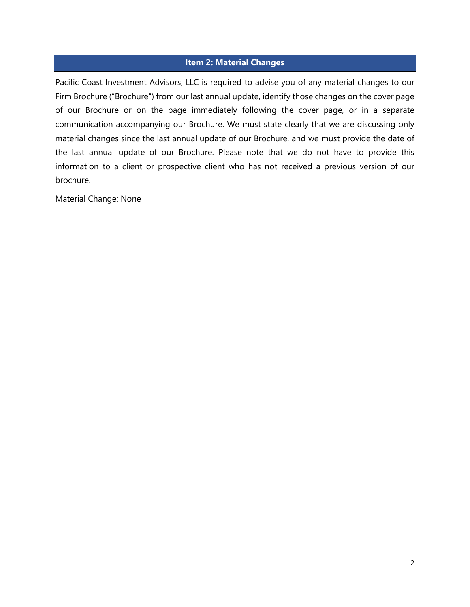#### **Item 2: Material Changes**

Pacific Coast Investment Advisors, LLC is required to advise you of any material changes to our Firm Brochure ("Brochure") from our last annual update, identify those changes on the cover page of our Brochure or on the page immediately following the cover page, or in a separate communication accompanying our Brochure. We must state clearly that we are discussing only material changes since the last annual update of our Brochure, and we must provide the date of the last annual update of our Brochure. Please note that we do not have to provide this information to a client or prospective client who has not received a previous version of our brochure.

Material Change: None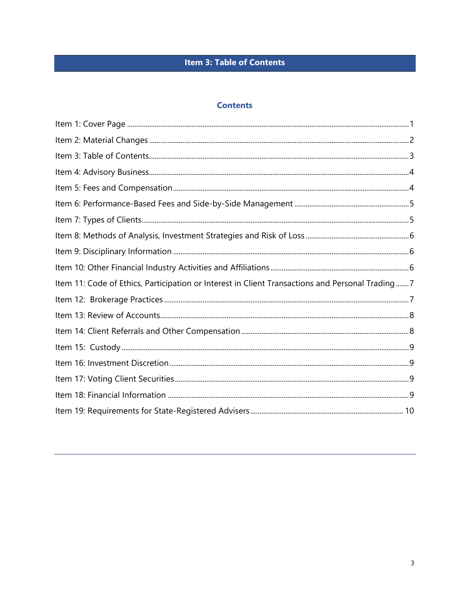# **Item 3: Table of Contents**

## **Contents**

| Item 11: Code of Ethics, Participation or Interest in Client Transactions and Personal Trading7 |  |
|-------------------------------------------------------------------------------------------------|--|
|                                                                                                 |  |
|                                                                                                 |  |
|                                                                                                 |  |
|                                                                                                 |  |
|                                                                                                 |  |
|                                                                                                 |  |
|                                                                                                 |  |
|                                                                                                 |  |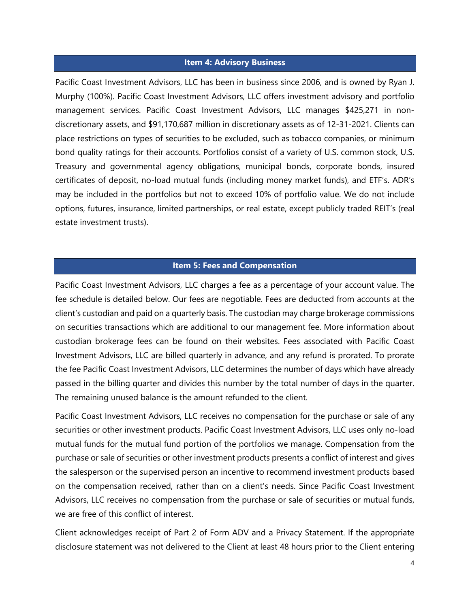## **Item 4: Advisory Business**

Pacific Coast Investment Advisors, LLC has been in business since 2006, and is owned by Ryan J. Murphy (100%). Pacific Coast Investment Advisors, LLC offers investment advisory and portfolio management services. Pacific Coast Investment Advisors, LLC manages \$425,271 in nondiscretionary assets, and \$91,170,687 million in discretionary assets as of 12-31-2021. Clients can place restrictions on types of securities to be excluded, such as tobacco companies, or minimum bond quality ratings for their accounts. Portfolios consist of a variety of U.S. common stock, U.S. Treasury and governmental agency obligations, municipal bonds, corporate bonds, insured certificates of deposit, no-load mutual funds (including money market funds), and ETF's. ADR's may be included in the portfolios but not to exceed 10% of portfolio value. We do not include options, futures, insurance, limited partnerships, or real estate, except publicly traded REIT's (real estate investment trusts).

#### **Item 5: Fees and Compensation**

Pacific Coast Investment Advisors, LLC charges a fee as a percentage of your account value. The fee schedule is detailed below. Our fees are negotiable. Fees are deducted from accounts at the client's custodian and paid on a quarterly basis. The custodian may charge brokerage commissions on securities transactions which are additional to our management fee. More information about custodian brokerage fees can be found on their websites. Fees associated with Pacific Coast Investment Advisors, LLC are billed quarterly in advance, and any refund is prorated. To prorate the fee Pacific Coast Investment Advisors, LLC determines the number of days which have already passed in the billing quarter and divides this number by the total number of days in the quarter. The remaining unused balance is the amount refunded to the client.

Pacific Coast Investment Advisors, LLC receives no compensation for the purchase or sale of any securities or other investment products. Pacific Coast Investment Advisors, LLC uses only no-load mutual funds for the mutual fund portion of the portfolios we manage. Compensation from the purchase or sale of securities or other investment products presents a conflict of interest and gives the salesperson or the supervised person an incentive to recommend investment products based on the compensation received, rather than on a client's needs. Since Pacific Coast Investment Advisors, LLC receives no compensation from the purchase or sale of securities or mutual funds, we are free of this conflict of interest.

Client acknowledges receipt of Part 2 of Form ADV and a Privacy Statement. If the appropriate disclosure statement was not delivered to the Client at least 48 hours prior to the Client entering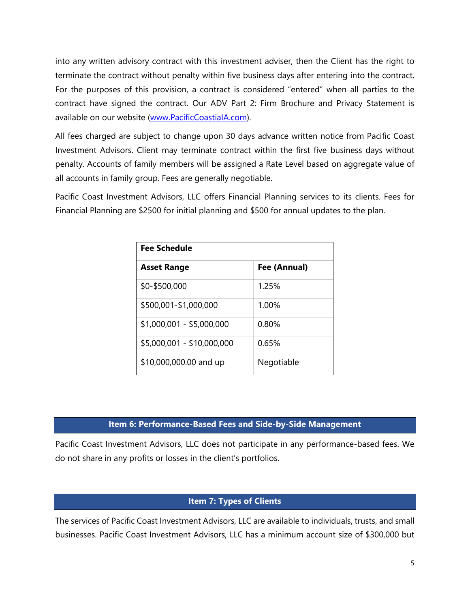into any written advisory contract with this investment adviser, then the Client has the right to terminate the contract without penalty within five business days after entering into the contract. For the purposes of this provision, a contract is considered "entered" when all parties to the contract have signed the contract. Our ADV Part 2: Firm Brochure and Privacy Statement is available on our website (www.PacificCoastialA.com).

All fees charged are subject to change upon 30 days advance written notice from Pacific Coast Investment Advisors. Client may terminate contract within the first five business days without penalty. Accounts of family members will be assigned a Rate Level based on aggregate value of all accounts in family group. Fees are generally negotiable.

Pacific Coast Investment Advisors, LLC offers Financial Planning services to its clients. Fees for Financial Planning are \$2500 for initial planning and \$500 for annual updates to the plan.

| <b>Fee Schedule</b>        |              |  |  |
|----------------------------|--------------|--|--|
| <b>Asset Range</b>         | Fee (Annual) |  |  |
| \$0-\$500,000              | 1.25%        |  |  |
| \$500,001-\$1,000,000      | 1.00%        |  |  |
| \$1,000,001 - \$5,000,000  | 0.80%        |  |  |
| \$5,000,001 - \$10,000,000 | 0.65%        |  |  |
| \$10,000,000.00 and up     | Negotiable   |  |  |

## **Item 6: Performance-Based Fees and Side-by-Side Management**

Pacific Coast Investment Advisors, LLC does not participate in any performance-based fees. We do not share in any profits or losses in the client's portfolios.

## **Item 7: Types of Clients**

The services of Pacific Coast Investment Advisors, LLC are available to individuals, trusts, and small businesses. Pacific Coast Investment Advisors, LLC has a minimum account size of \$300,000 but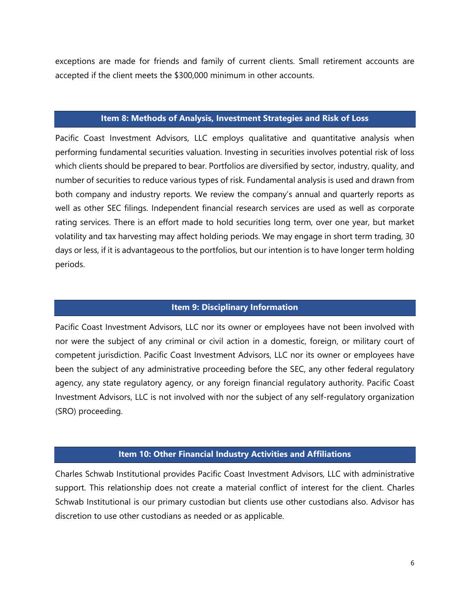exceptions are made for friends and family of current clients. Small retirement accounts are accepted if the client meets the \$300,000 minimum in other accounts.

#### **Item 8: Methods of Analysis, Investment Strategies and Risk of Loss**

Pacific Coast Investment Advisors, LLC employs qualitative and quantitative analysis when performing fundamental securities valuation. Investing in securities involves potential risk of loss which clients should be prepared to bear. Portfolios are diversified by sector, industry, quality, and number of securities to reduce various types of risk. Fundamental analysis is used and drawn from both company and industry reports. We review the company's annual and quarterly reports as well as other SEC filings. Independent financial research services are used as well as corporate rating services. There is an effort made to hold securities long term, over one year, but market volatility and tax harvesting may affect holding periods. We may engage in short term trading, 30 days or less, if it is advantageous to the portfolios, but our intention is to have longer term holding periods.

#### **Item 9: Disciplinary Information**

Pacific Coast Investment Advisors, LLC nor its owner or employees have not been involved with nor were the subject of any criminal or civil action in a domestic, foreign, or military court of competent jurisdiction. Pacific Coast Investment Advisors, LLC nor its owner or employees have been the subject of any administrative proceeding before the SEC, any other federal regulatory agency, any state regulatory agency, or any foreign financial regulatory authority. Pacific Coast Investment Advisors, LLC is not involved with nor the subject of any self-regulatory organization (SRO) proceeding.

#### **Item 10: Other Financial Industry Activities and Affiliations**

Charles Schwab Institutional provides Pacific Coast Investment Advisors, LLC with administrative support. This relationship does not create a material conflict of interest for the client. Charles Schwab Institutional is our primary custodian but clients use other custodians also. Advisor has discretion to use other custodians as needed or as applicable.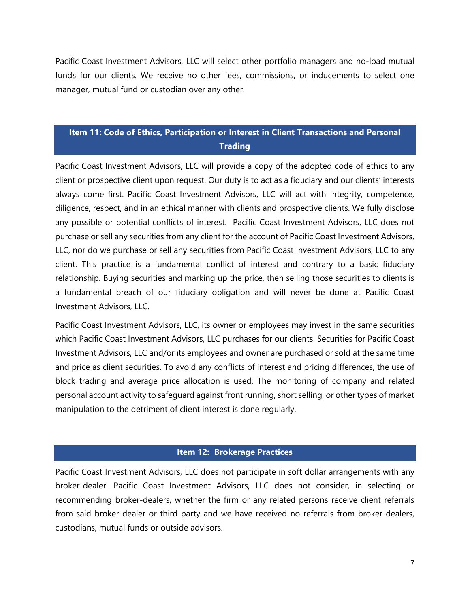Pacific Coast Investment Advisors, LLC will select other portfolio managers and no-load mutual funds for our clients. We receive no other fees, commissions, or inducements to select one manager, mutual fund or custodian over any other.

# **Item 11: Code of Ethics, Participation or Interest in Client Transactions and Personal Trading**

Pacific Coast Investment Advisors, LLC will provide a copy of the adopted code of ethics to any client or prospective client upon request. Our duty is to act as a fiduciary and our clients' interests always come first. Pacific Coast Investment Advisors, LLC will act with integrity, competence, diligence, respect, and in an ethical manner with clients and prospective clients. We fully disclose any possible or potential conflicts of interest. Pacific Coast Investment Advisors, LLC does not purchase or sell any securities from any client for the account of Pacific Coast Investment Advisors, LLC, nor do we purchase or sell any securities from Pacific Coast Investment Advisors, LLC to any client. This practice is a fundamental conflict of interest and contrary to a basic fiduciary relationship. Buying securities and marking up the price, then selling those securities to clients is a fundamental breach of our fiduciary obligation and will never be done at Pacific Coast Investment Advisors, LLC.

Pacific Coast Investment Advisors, LLC, its owner or employees may invest in the same securities which Pacific Coast Investment Advisors, LLC purchases for our clients. Securities for Pacific Coast Investment Advisors, LLC and/or its employees and owner are purchased or sold at the same time and price as client securities. To avoid any conflicts of interest and pricing differences, the use of block trading and average price allocation is used. The monitoring of company and related personal account activity to safeguard against front running, short selling, or other types of market manipulation to the detriment of client interest is done regularly.

## **Item 12: Brokerage Practices**

Pacific Coast Investment Advisors, LLC does not participate in soft dollar arrangements with any broker-dealer. Pacific Coast Investment Advisors, LLC does not consider, in selecting or recommending broker-dealers, whether the firm or any related persons receive client referrals from said broker-dealer or third party and we have received no referrals from broker-dealers, custodians, mutual funds or outside advisors.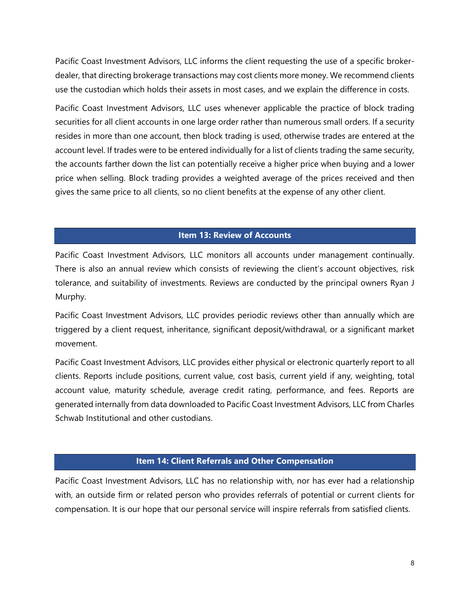Pacific Coast Investment Advisors, LLC informs the client requesting the use of a specific brokerdealer, that directing brokerage transactions may cost clients more money. We recommend clients use the custodian which holds their assets in most cases, and we explain the difference in costs.

Pacific Coast Investment Advisors, LLC uses whenever applicable the practice of block trading securities for all client accounts in one large order rather than numerous small orders. If a security resides in more than one account, then block trading is used, otherwise trades are entered at the account level. If trades were to be entered individually for a list of clients trading the same security, the accounts farther down the list can potentially receive a higher price when buying and a lower price when selling. Block trading provides a weighted average of the prices received and then gives the same price to all clients, so no client benefits at the expense of any other client.

## **Item 13: Review of Accounts**

Pacific Coast Investment Advisors, LLC monitors all accounts under management continually. There is also an annual review which consists of reviewing the client's account objectives, risk tolerance, and suitability of investments. Reviews are conducted by the principal owners Ryan J Murphy.

Pacific Coast Investment Advisors, LLC provides periodic reviews other than annually which are triggered by a client request, inheritance, significant deposit/withdrawal, or a significant market movement.

Pacific Coast Investment Advisors, LLC provides either physical or electronic quarterly report to all clients. Reports include positions, current value, cost basis, current yield if any, weighting, total account value, maturity schedule, average credit rating, performance, and fees. Reports are generated internally from data downloaded to Pacific Coast Investment Advisors, LLC from Charles Schwab Institutional and other custodians.

## **Item 14: Client Referrals and Other Compensation**

Pacific Coast Investment Advisors, LLC has no relationship with, nor has ever had a relationship with, an outside firm or related person who provides referrals of potential or current clients for compensation. It is our hope that our personal service will inspire referrals from satisfied clients.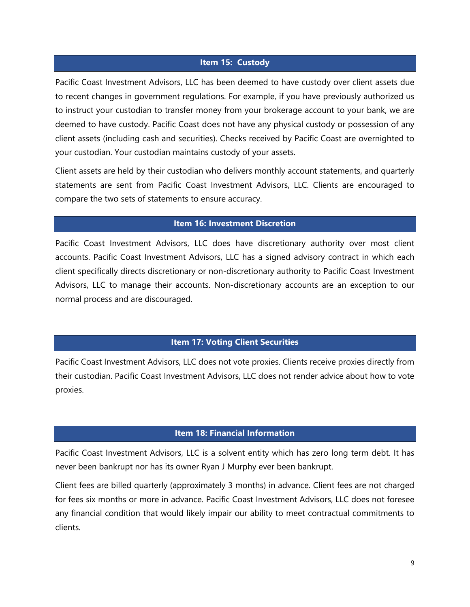## **Item 15: Custody**

Pacific Coast Investment Advisors, LLC has been deemed to have custody over client assets due to recent changes in government regulations. For example, if you have previously authorized us to instruct your custodian to transfer money from your brokerage account to your bank, we are deemed to have custody. Pacific Coast does not have any physical custody or possession of any client assets (including cash and securities). Checks received by Pacific Coast are overnighted to your custodian. Your custodian maintains custody of your assets.

Client assets are held by their custodian who delivers monthly account statements, and quarterly statements are sent from Pacific Coast Investment Advisors, LLC. Clients are encouraged to compare the two sets of statements to ensure accuracy.

## **Item 16: Investment Discretion**

Pacific Coast Investment Advisors, LLC does have discretionary authority over most client accounts. Pacific Coast Investment Advisors, LLC has a signed advisory contract in which each client specifically directs discretionary or non-discretionary authority to Pacific Coast Investment Advisors, LLC to manage their accounts. Non-discretionary accounts are an exception to our normal process and are discouraged.

## **Item 17: Voting Client Securities**

Pacific Coast Investment Advisors, LLC does not vote proxies. Clients receive proxies directly from their custodian. Pacific Coast Investment Advisors, LLC does not render advice about how to vote proxies.

## **Item 18: Financial Information**

Pacific Coast Investment Advisors, LLC is a solvent entity which has zero long term debt. It has never been bankrupt nor has its owner Ryan J Murphy ever been bankrupt.

Client fees are billed quarterly (approximately 3 months) in advance. Client fees are not charged for fees six months or more in advance. Pacific Coast Investment Advisors, LLC does not foresee any financial condition that would likely impair our ability to meet contractual commitments to clients.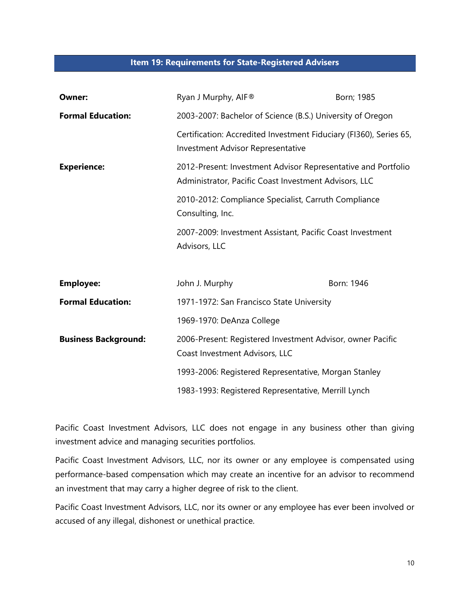#### **Item 19: Requirements for State-Registered Advisers**

| Owner:                      | Ryan J Murphy, AIF®                                                                                                    | Born; 1985                                                 |  |
|-----------------------------|------------------------------------------------------------------------------------------------------------------------|------------------------------------------------------------|--|
| <b>Formal Education:</b>    | 2003-2007: Bachelor of Science (B.S.) University of Oregon                                                             |                                                            |  |
|                             | Certification: Accredited Investment Fiduciary (FI360), Series 65,<br><b>Investment Advisor Representative</b>         |                                                            |  |
| <b>Experience:</b>          | 2012-Present: Investment Advisor Representative and Portfolio<br>Administrator, Pacific Coast Investment Advisors, LLC |                                                            |  |
|                             | 2010-2012: Compliance Specialist, Carruth Compliance<br>Consulting, Inc.                                               |                                                            |  |
|                             | 2007-2009: Investment Assistant, Pacific Coast Investment<br>Advisors, LLC                                             |                                                            |  |
| <b>Employee:</b>            | John J. Murphy                                                                                                         | Born: 1946                                                 |  |
| <b>Formal Education:</b>    | 1971-1972: San Francisco State University                                                                              |                                                            |  |
|                             | 1969-1970: DeAnza College                                                                                              |                                                            |  |
| <b>Business Background:</b> | Coast Investment Advisors, LLC                                                                                         | 2006-Present: Registered Investment Advisor, owner Pacific |  |
|                             | 1993-2006: Registered Representative, Morgan Stanley                                                                   |                                                            |  |
|                             | 1983-1993: Registered Representative, Merrill Lynch                                                                    |                                                            |  |

Pacific Coast Investment Advisors, LLC does not engage in any business other than giving investment advice and managing securities portfolios.

Pacific Coast Investment Advisors, LLC, nor its owner or any employee is compensated using performance-based compensation which may create an incentive for an advisor to recommend an investment that may carry a higher degree of risk to the client.

Pacific Coast Investment Advisors, LLC, nor its owner or any employee has ever been involved or accused of any illegal, dishonest or unethical practice.